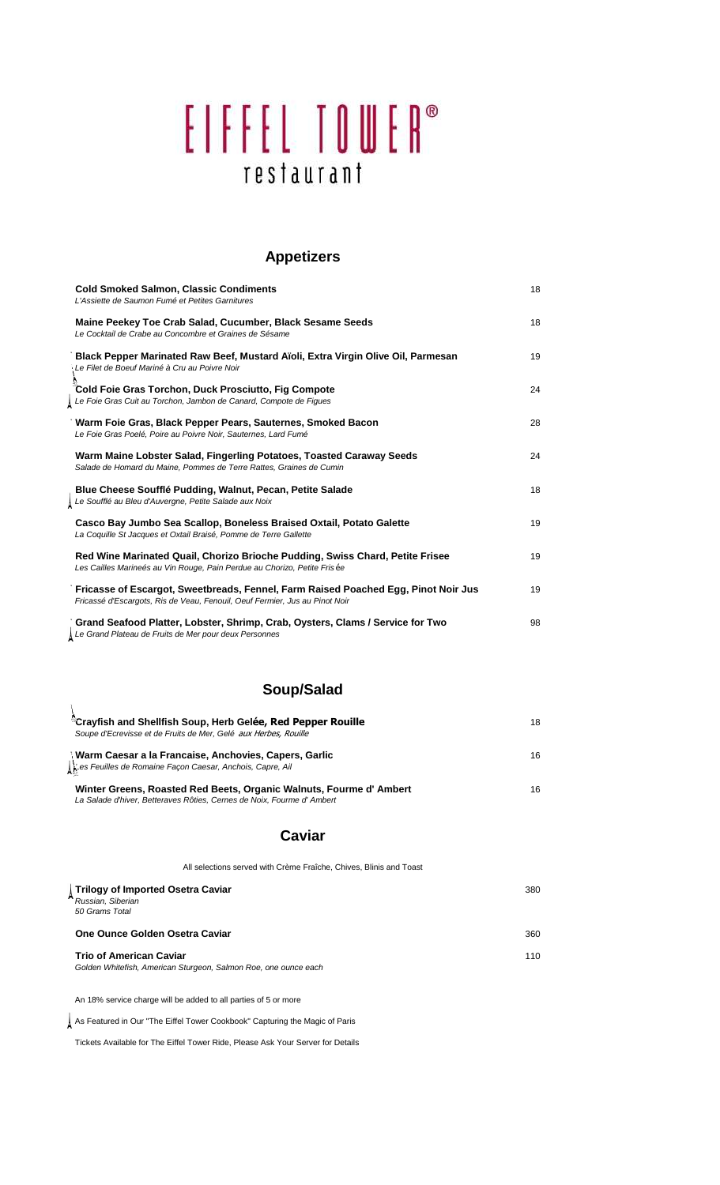# EIFFEL TOWER® restaurant

#### **Appetizers**

| <b>Cold Smoked Salmon, Classic Condiments</b><br>L'Assiette de Saumon Fumé et Petites Garnitures                                                                  | 18 |
|-------------------------------------------------------------------------------------------------------------------------------------------------------------------|----|
| Maine Peekey Toe Crab Salad, Cucumber, Black Sesame Seeds<br>Le Cocktail de Crabe au Concombre et Graines de Sésame                                               | 18 |
| Black Pepper Marinated Raw Beef, Mustard Aïoli, Extra Virgin Olive Oil, Parmesan<br>Le Filet de Boeuf Mariné à Cru au Poivre Noir                                 | 19 |
| Cold Foie Gras Torchon, Duck Prosciutto, Fig Compote<br>Le Foie Gras Cuit au Torchon, Jambon de Canard, Compote de Figues                                         | 24 |
| Warm Foie Gras, Black Pepper Pears, Sauternes, Smoked Bacon<br>Le Foie Gras Poelé, Poire au Poivre Noir, Sauternes, Lard Fumé                                     | 28 |
| Warm Maine Lobster Salad, Fingerling Potatoes, Toasted Caraway Seeds<br>Salade de Homard du Maine, Pommes de Terre Rattes, Graines de Cumin                       | 24 |
| Blue Cheese Soufflé Pudding, Walnut, Pecan, Petite Salade<br>Le Soufflé au Bleu d'Auvergne, Petite Salade aux Noix                                                | 18 |
| Casco Bay Jumbo Sea Scallop, Boneless Braised Oxtail, Potato Galette<br>La Coquille St Jacques et Oxtail Braisé, Pomme de Terre Gallette                          | 19 |
| Red Wine Marinated Quail, Chorizo Brioche Pudding, Swiss Chard, Petite Frisee<br>Les Cailles Marineés au Vin Rouge, Pain Perdue au Chorizo, Petite Frisée         | 19 |
| Fricasse of Escargot, Sweetbreads, Fennel, Farm Raised Poached Egg, Pinot Noir Jus<br>Fricassé d'Escargots, Ris de Veau, Fenouil, Oeuf Fermier, Jus au Pinot Noir | 19 |
| Grand Seafood Platter, Lobster, Shrimp, Crab, Oysters, Clams / Service for Two<br>Le Grand Plateau de Fruits de Mer pour deux Personnes                           | 98 |

### **Soup/Salad**

| "Crayfish and Shellfish Soup, Herb Gelée, Red Pepper Rouille<br>Soupe d'Ecrevisse et de Fruits de Mer, Gelé aux Herbes, Rouille             | 18 |
|---------------------------------------------------------------------------------------------------------------------------------------------|----|
| ∖Warm Caesar a la Francaise, Anchovies, Capers, Garlic<br>∭es Feuilles de Romaine Façon Caesar, Anchois, Capre, Ail                         | 16 |
| Winter Greens, Roasted Red Beets, Organic Walnuts, Fourme d'Ambert<br>La Salade d'hiver, Betteraves Rôties, Cernes de Noix, Fourme d'Ambert | 16 |

## **Caviar**

| All selections served with Crème Fraîche, Chives, Blinis and Toast                                |     |
|---------------------------------------------------------------------------------------------------|-----|
| Trilogy of Imported Osetra Caviar<br>Russian, Siberian<br>50 Grams Total                          | 380 |
| One Ounce Golden Osetra Caviar                                                                    | 360 |
| <b>Trio of American Caviar</b><br>Golden Whitefish, American Sturgeon, Salmon Roe, one ounce each | 110 |

An 18% service charge will be added to all parties of 5 or more

As Featured in Our "The Eiffel Tower Cookbook" Capturing the Magic of Paris

Tickets Available for The Eiffel Tower Ride, Please Ask Your Server for Details